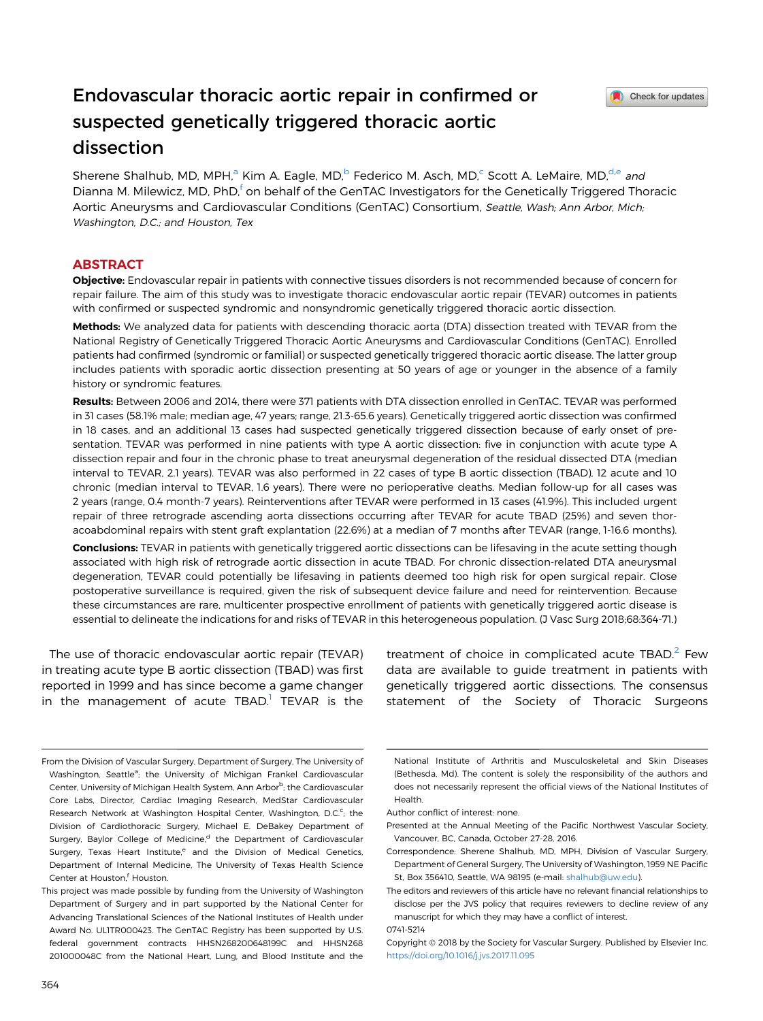# Endovascular thoracic aortic repair in confirmed or suspected genetically triggered thoracic aortic dissection

Check for updates

Sherene Shalhub, MD, MPH,<sup>a</sup> Kim A. Eagle, MD,<sup>b</sup> Federico M. Asch, MD,<sup>c</sup> Scott A. LeMaire, MD,<sup>d,e</sup> and Dianna M. Milewicz, MD, PhD,<sup>f</sup> on behalf of the GenTAC Investigators for the Genetically Triggered Thoracic Aortic Aneurysms and Cardiovascular Conditions (GenTAC) Consortium, Seattle, Wash; Ann Arbor, Mich; Washington, D.C.; and Houston, Tex

#### ABSTRACT

Objective: Endovascular repair in patients with connective tissues disorders is not recommended because of concern for repair failure. The aim of this study was to investigate thoracic endovascular aortic repair (TEVAR) outcomes in patients with confirmed or suspected syndromic and nonsyndromic genetically triggered thoracic aortic dissection.

Methods: We analyzed data for patients with descending thoracic aorta (DTA) dissection treated with TEVAR from the National Registry of Genetically Triggered Thoracic Aortic Aneurysms and Cardiovascular Conditions (GenTAC). Enrolled patients had confirmed (syndromic or familial) or suspected genetically triggered thoracic aortic disease. The latter group includes patients with sporadic aortic dissection presenting at 50 years of age or younger in the absence of a family history or syndromic features.

Results: Between 2006 and 2014, there were 371 patients with DTA dissection enrolled in GenTAC. TEVAR was performed in 31 cases (58.1% male; median age, 47 years; range, 21.3-65.6 years). Genetically triggered aortic dissection was confirmed in 18 cases, and an additional 13 cases had suspected genetically triggered dissection because of early onset of presentation. TEVAR was performed in nine patients with type A aortic dissection: five in conjunction with acute type A dissection repair and four in the chronic phase to treat aneurysmal degeneration of the residual dissected DTA (median interval to TEVAR, 2.1 years). TEVAR was also performed in 22 cases of type B aortic dissection (TBAD), 12 acute and 10 chronic (median interval to TEVAR, 1.6 years). There were no perioperative deaths. Median follow-up for all cases was 2 years (range, 0.4 month-7 years). Reinterventions after TEVAR were performed in 13 cases (41.9%). This included urgent repair of three retrograde ascending aorta dissections occurring after TEVAR for acute TBAD (25%) and seven thoracoabdominal repairs with stent graft explantation (22.6%) at a median of 7 months after TEVAR (range, 1-16.6 months).

Conclusions: TEVAR in patients with genetically triggered aortic dissections can be lifesaving in the acute setting though associated with high risk of retrograde aortic dissection in acute TBAD. For chronic dissection-related DTA aneurysmal degeneration, TEVAR could potentially be lifesaving in patients deemed too high risk for open surgical repair. Close postoperative surveillance is required, given the risk of subsequent device failure and need for reintervention. Because these circumstances are rare, multicenter prospective enrollment of patients with genetically triggered aortic disease is essential to delineate the indications for and risks of TEVAR in this heterogeneous population. (J Vasc Surg 2018;68:364-71.)

The use of thoracic endovascular aortic repair (TEVAR) in treating acute type B aortic dissection (TBAD) was first reported in 1999 and has since become a game changer in the management of acute  $TBAD<sup>1</sup> TEVAR$  $TBAD<sup>1</sup> TEVAR$  $TBAD<sup>1</sup> TEVAR$  is the

treatment of choice in complicated acute  $TBAD.<sup>2</sup>$  $TBAD.<sup>2</sup>$  $TBAD.<sup>2</sup>$  Few data are available to guide treatment in patients with genetically triggered aortic dissections. The consensus statement of the Society of Thoracic Surgeons

0741-5214

From the Division of Vascular Surgery, Department of Surgery, The University of Washington, Seattle<sup>a</sup>; the University of Michigan Frankel Cardiovascular Center, University of Michigan Health System, Ann Arbor<sup>b</sup>; the Cardiovascular Core Labs, Director, Cardiac Imaging Research, MedStar Cardiovascular Research Network at Washington Hospital Center, Washington, D.C.<sup>c</sup>; the Division of Cardiothoracic Surgery, Michael E. DeBakey Department of Surgery, Baylor College of Medicine,<sup>d</sup> the Department of Cardiovascular Surgery, Texas Heart Institute,<sup>e</sup> and the Division of Medical Genetics, Department of Internal Medicine, The University of Texas Health Science Center at Houston,<sup>f</sup> Houston.

This project was made possible by funding from the University of Washington Department of Surgery and in part supported by the National Center for Advancing Translational Sciences of the National Institutes of Health under Award No. UL1TR000423. The GenTAC Registry has been supported by U.S. federal government contracts HHSN268200648199C and HHSN268 201000048C from the National Heart, Lung, and Blood Institute and the

National Institute of Arthritis and Musculoskeletal and Skin Diseases (Bethesda, Md). The content is solely the responsibility of the authors and does not necessarily represent the official views of the National Institutes of Health.

Author conflict of interest: none.

Presented at the Annual Meeting of the Pacific Northwest Vascular Society, Vancouver, BC, Canada, October 27-28, 2016.

Correspondence: Sherene Shalhub, MD, MPH, Division of Vascular Surgery, Department of General Surgery, The University of Washington, 1959 NE Pacific St, Box 356410, Seattle, WA 98195 (e-mail: [shalhub@uw.edu](mailto:shalhub@uw.edu)).

The editors and reviewers of this article have no relevant financial relationships to disclose per the JVS policy that requires reviewers to decline review of any manuscript for which they may have a conflict of interest.

Copyright © 2018 by the Society for Vascular Surgery. Published by Elsevier Inc. <https://doi.org/10.1016/j.jvs.2017.11.095>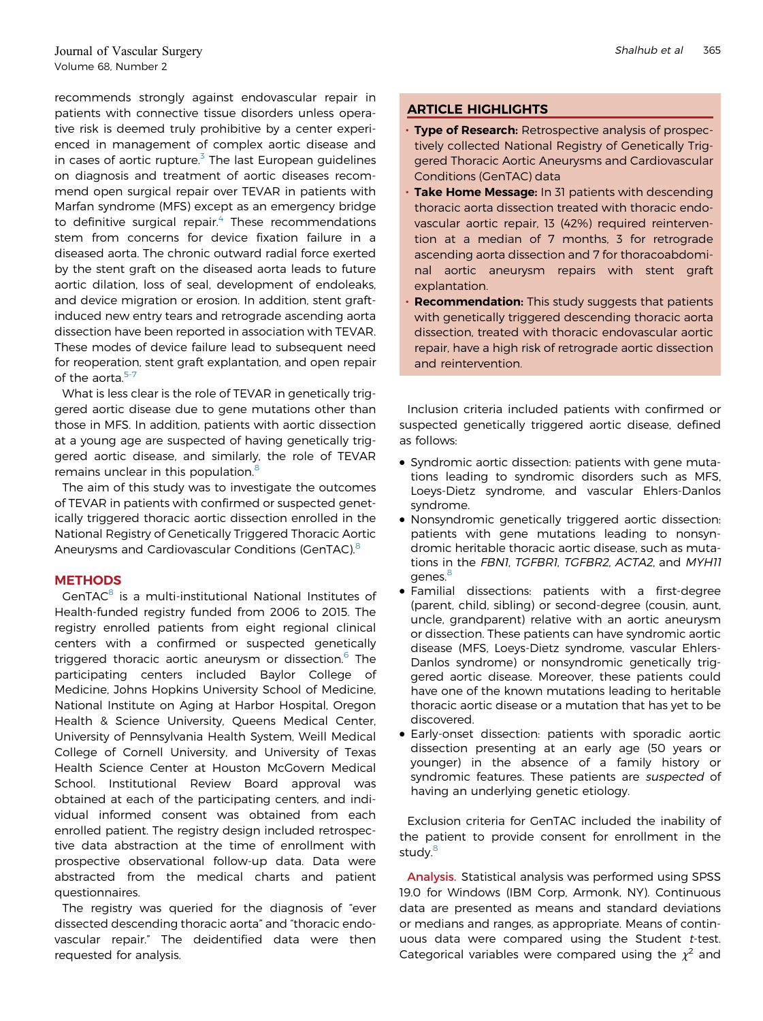recommends strongly against endovascular repair in patients with connective tissue disorders unless operative risk is deemed truly prohibitive by a center experienced in management of complex aortic disease and in cases of aortic rupture. $3$  The last European guidelines on diagnosis and treatment of aortic diseases recommend open surgical repair over TEVAR in patients with Marfan syndrome (MFS) except as an emergency bridge to definitive surgical repair. $4$  These recommendations stem from concerns for device fixation failure in a diseased aorta. The chronic outward radial force exerted by the stent graft on the diseased aorta leads to future aortic dilation, loss of seal, development of endoleaks, and device migration or erosion. In addition, stent graftinduced new entry tears and retrograde ascending aorta dissection have been reported in association with TEVAR. These modes of device failure lead to subsequent need for reoperation, stent graft explantation, and open repair of the aorta. $5-7$ 

What is less clear is the role of TEVAR in genetically triggered aortic disease due to gene mutations other than those in MFS. In addition, patients with aortic dissection at a young age are suspected of having genetically triggered aortic disease, and similarly, the role of TEVAR remains unclear in this population.<sup>[8](#page-7-0)</sup>

The aim of this study was to investigate the outcomes of TEVAR in patients with confirmed or suspected genetically triggered thoracic aortic dissection enrolled in the National Registry of Genetically Triggered Thoracic Aortic Aneurysms and Cardiovascular Conditions (GenTAC).<sup>[8](#page-7-0)</sup>

## **METHODS**

GenTAC<sup>8</sup> is a multi-institutional National Institutes of Health-funded registry funded from 2006 to 2015. The registry enrolled patients from eight regional clinical centers with a confirmed or suspected genetically triggered thoracic aortic aneurysm or dissection.<sup>[6](#page-7-0)</sup> The participating centers included Baylor College of Medicine, Johns Hopkins University School of Medicine, National Institute on Aging at Harbor Hospital, Oregon Health & Science University, Queens Medical Center, University of Pennsylvania Health System, Weill Medical College of Cornell University, and University of Texas Health Science Center at Houston McGovern Medical School. Institutional Review Board approval was obtained at each of the participating centers, and individual informed consent was obtained from each enrolled patient. The registry design included retrospective data abstraction at the time of enrollment with prospective observational follow-up data. Data were abstracted from the medical charts and patient questionnaires.

The registry was queried for the diagnosis of "ever dissected descending thoracic aorta" and "thoracic endovascular repair." The deidentified data were then requested for analysis.

# ARTICLE HIGHLIGHTS

- Type of Research: Retrospective analysis of prospectively collected National Registry of Genetically Triggered Thoracic Aortic Aneurysms and Cardiovascular Conditions (GenTAC) data
- Take Home Message: In 31 patients with descending thoracic aorta dissection treated with thoracic endovascular aortic repair, 13 (42%) required reintervention at a median of 7 months, 3 for retrograde ascending aorta dissection and 7 for thoracoabdominal aortic aneurysm repairs with stent graft explantation.
- **Recommendation:** This study suggests that patients with genetically triggered descending thoracic aorta dissection, treated with thoracic endovascular aortic repair, have a high risk of retrograde aortic dissection and reintervention.

Inclusion criteria included patients with confirmed or suspected genetically triggered aortic disease, defined as follows:

- Syndromic aortic dissection: patients with gene mutations leading to syndromic disorders such as MFS, Loeys-Dietz syndrome, and vascular Ehlers-Danlos syndrome.
- Nonsyndromic genetically triggered aortic dissection: patients with gene mutations leading to nonsyndromic heritable thoracic aortic disease, such as mutations in the FBN1, TGFBR1, TGFBR2, ACTA2, and MYH11 genes.<sup>[8](#page-7-0)</sup>
- Familial dissections: patients with a first-degree (parent, child, sibling) or second-degree (cousin, aunt, uncle, grandparent) relative with an aortic aneurysm or dissection. These patients can have syndromic aortic disease (MFS, Loeys-Dietz syndrome, vascular Ehlers-Danlos syndrome) or nonsyndromic genetically triggered aortic disease. Moreover, these patients could have one of the known mutations leading to heritable thoracic aortic disease or a mutation that has yet to be discovered.
- Early-onset dissection: patients with sporadic aortic dissection presenting at an early age (50 years or younger) in the absence of a family history or syndromic features. These patients are suspected of having an underlying genetic etiology.

Exclusion criteria for GenTAC included the inability of the patient to provide consent for enrollment in the study.<sup>[8](#page-7-0)</sup>

Analysis. Statistical analysis was performed using SPSS 19.0 for Windows (IBM Corp, Armonk, NY). Continuous data are presented as means and standard deviations or medians and ranges, as appropriate. Means of continuous data were compared using the Student  $t$ -test. Categorical variables were compared using the  $\chi^2$  and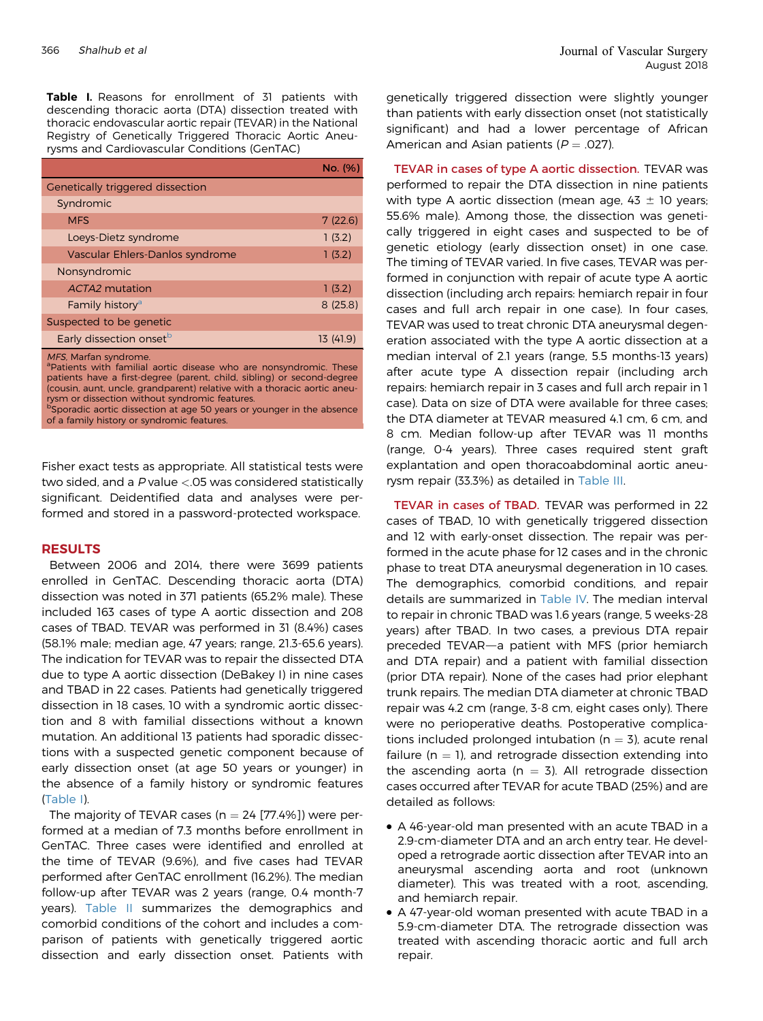Table I. Reasons for enrollment of 31 patients with descending thoracic aorta (DTA) dissection treated with thoracic endovascular aortic repair (TEVAR) in the National Registry of Genetically Triggered Thoracic Aortic Aneurysms and Cardiovascular Conditions (GenTAC)

|                                                                                                                                                                                                                                                                                                                 | No. (%)  |  |
|-----------------------------------------------------------------------------------------------------------------------------------------------------------------------------------------------------------------------------------------------------------------------------------------------------------------|----------|--|
| <b>Genetically triggered dissection</b>                                                                                                                                                                                                                                                                         |          |  |
| Syndromic                                                                                                                                                                                                                                                                                                       |          |  |
| <b>MFS</b>                                                                                                                                                                                                                                                                                                      | 7(22.6)  |  |
| Loeys-Dietz syndrome                                                                                                                                                                                                                                                                                            | 1(3.2)   |  |
| Vascular Ehlers-Danlos syndrome                                                                                                                                                                                                                                                                                 | 1(3.2)   |  |
| Nonsyndromic                                                                                                                                                                                                                                                                                                    |          |  |
| ACTA2 mutation                                                                                                                                                                                                                                                                                                  | 1(3.2)   |  |
| Family history <sup>a</sup>                                                                                                                                                                                                                                                                                     | 8(25.8)  |  |
| Suspected to be genetic                                                                                                                                                                                                                                                                                         |          |  |
| Early dissection onset <sup>b</sup>                                                                                                                                                                                                                                                                             | 13(41.9) |  |
| MFS, Marfan syndrome.<br><sup>a</sup> Patients with familial aortic disease who are nonsyndromic. These<br>patients have a first-degree (parent, child, sibling) or second-degree<br>(cousin, aunt, uncle, grandparent) relative with a thoracic aortic aneu-<br>rysm or dissection without syndromic features. |          |  |

b poradic aortic dissection at age 50 years or younger in the absence of a family history or syndromic features.

Fisher exact tests as appropriate. All statistical tests were two sided, and a <sup>P</sup> value <.05 was considered statistically significant. Deidentified data and analyses were performed and stored in a password-protected workspace.

#### RESULTS

Between 2006 and 2014, there were 3699 patients enrolled in GenTAC. Descending thoracic aorta (DTA) dissection was noted in 371 patients (65.2% male). These included 163 cases of type A aortic dissection and 208 cases of TBAD. TEVAR was performed in 31 (8.4%) cases (58.1% male; median age, 47 years; range, 21.3-65.6 years). The indication for TEVAR was to repair the dissected DTA due to type A aortic dissection (DeBakey I) in nine cases and TBAD in 22 cases. Patients had genetically triggered dissection in 18 cases, 10 with a syndromic aortic dissection and 8 with familial dissections without a known mutation. An additional 13 patients had sporadic dissections with a suspected genetic component because of early dissection onset (at age 50 years or younger) in the absence of a family history or syndromic features (Table I).

The majority of TEVAR cases ( $n = 24$  [77.4%]) were performed at a median of 7.3 months before enrollment in GenTAC. Three cases were identified and enrolled at the time of TEVAR (9.6%), and five cases had TEVAR performed after GenTAC enrollment (16.2%). The median follow-up after TEVAR was 2 years (range, 0.4 month-7 years). [Table II](#page-3-0) summarizes the demographics and comorbid conditions of the cohort and includes a comparison of patients with genetically triggered aortic dissection and early dissection onset. Patients with

genetically triggered dissection were slightly younger than patients with early dissection onset (not statistically significant) and had a lower percentage of African American and Asian patients ( $P = .027$ ).

TEVAR in cases of type A aortic dissection. TEVAR was performed to repair the DTA dissection in nine patients with type A aortic dissection (mean age,  $43 \pm 10$  years; 55.6% male). Among those, the dissection was genetically triggered in eight cases and suspected to be of genetic etiology (early dissection onset) in one case. The timing of TEVAR varied. In five cases, TEVAR was performed in conjunction with repair of acute type A aortic dissection (including arch repairs: hemiarch repair in four cases and full arch repair in one case). In four cases, TEVAR was used to treat chronic DTA aneurysmal degeneration associated with the type A aortic dissection at a median interval of 2.1 years (range, 5.5 months-13 years) after acute type A dissection repair (including arch repairs: hemiarch repair in 3 cases and full arch repair in 1 case). Data on size of DTA were available for three cases; the DTA diameter at TEVAR measured 4.1 cm, 6 cm, and 8 cm. Median follow-up after TEVAR was 11 months (range, 0-4 years). Three cases required stent graft explantation and open thoracoabdominal aortic aneurysm repair (33.3%) as detailed in [Table III](#page-3-0).

TEVAR in cases of TBAD. TEVAR was performed in 22 cases of TBAD, 10 with genetically triggered dissection and 12 with early-onset dissection. The repair was performed in the acute phase for 12 cases and in the chronic phase to treat DTA aneurysmal degeneration in 10 cases. The demographics, comorbid conditions, and repair details are summarized in [Table IV.](#page-4-0) The median interval to repair in chronic TBAD was 1.6 years (range, 5 weeks-28 years) after TBAD. In two cases, a previous DTA repair preceded TEVAR-a patient with MFS (prior hemiarch and DTA repair) and a patient with familial dissection (prior DTA repair). None of the cases had prior elephant trunk repairs. The median DTA diameter at chronic TBAD repair was 4.2 cm (range, 3-8 cm, eight cases only). There were no perioperative deaths. Postoperative complications included prolonged intubation ( $n = 3$ ), acute renal failure ( $n = 1$ ), and retrograde dissection extending into the ascending aorta ( $n = 3$ ). All retrograde dissection cases occurred after TEVAR for acute TBAD (25%) and are detailed as follows:

- A 46-year-old man presented with an acute TBAD in a 2.9-cm-diameter DTA and an arch entry tear. He developed a retrograde aortic dissection after TEVAR into an aneurysmal ascending aorta and root (unknown diameter). This was treated with a root, ascending, and hemiarch repair.
- A 47-year-old woman presented with acute TBAD in a 5.9-cm-diameter DTA. The retrograde dissection was treated with ascending thoracic aortic and full arch repair.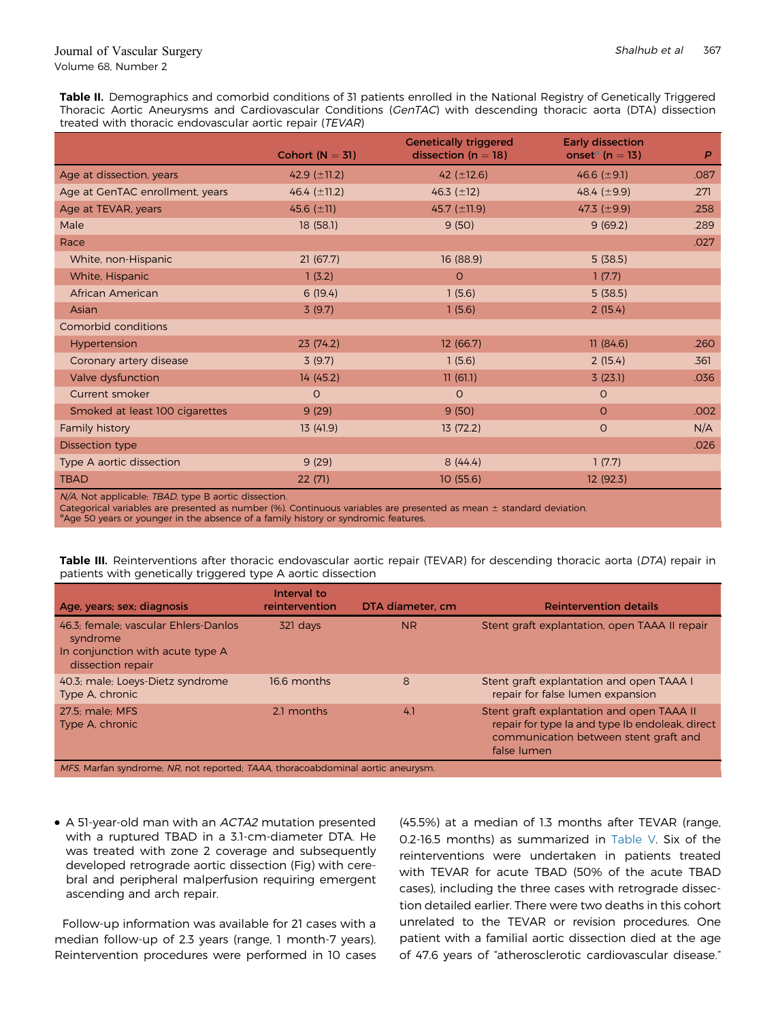<span id="page-3-0"></span>Table II. Demographics and comorbid conditions of 31 patients enrolled in the National Registry of Genetically Triggered Thoracic Aortic Aneurysms and Cardiovascular Conditions (GenTAC) with descending thoracic aorta (DTA) dissection treated with thoracic endovascular aortic repair (TEVAR)

|                                 | Cohort $(N = 31)$ | <b>Genetically triggered</b><br>dissection ( $n = 18$ ) | <b>Early dissection</b><br>onset <sup>a</sup> (n = 13) | $\overline{P}$ |
|---------------------------------|-------------------|---------------------------------------------------------|--------------------------------------------------------|----------------|
| Age at dissection, years        | 42.9 $(\pm 11.2)$ | 42 $(\pm 12.6)$                                         | 46.6 $(\pm 9.1)$                                       | .087           |
| Age at GenTAC enrollment, years | 46.4 $(\pm 11.2)$ | 46.3 $(\pm 12)$                                         | 48.4 $(\pm 9.9)$                                       | .271           |
| Age at TEVAR, years             | 45.6 $(\pm 11)$   | 45.7 $(\pm 11.9)$                                       | 47.3 $(\pm 9.9)$                                       | .258           |
| Male                            | 18(58.1)          | 9(50)                                                   | 9(69.2)                                                | .289           |
| Race                            |                   |                                                         |                                                        | .027           |
| White, non-Hispanic             | 21(67.7)          | 16(88.9)                                                | 5(38.5)                                                |                |
| White, Hispanic                 | 1(3.2)            | $\circ$                                                 | 1(7.7)                                                 |                |
| African American                | 6(19.4)           | 1(5.6)                                                  | 5(38.5)                                                |                |
| Asian                           | 3(9.7)            | 1(5.6)                                                  | 2(15.4)                                                |                |
| Comorbid conditions             |                   |                                                         |                                                        |                |
| Hypertension                    | 23(74.2)          | 12(66.7)                                                | 11(84.6)                                               | .260           |
| Coronary artery disease         | 3(9.7)            | 1(5.6)                                                  | 2(15.4)                                                | .361           |
| Valve dysfunction               | 14 (45.2)         | 11(61.1)                                                | 3(23.1)                                                | .036           |
| <b>Current smoker</b>           | $\Omega$          | $\circ$                                                 | $\circ$                                                |                |
| Smoked at least 100 cigarettes  | 9(29)             | 9(50)                                                   | $\Omega$                                               | .002           |
| Family history                  | 13(41.9)          | 13(72.2)                                                | $\circ$                                                | N/A            |
| <b>Dissection type</b>          |                   |                                                         |                                                        | .026           |
| Type A aortic dissection        | 9(29)             | 8(44.4)                                                 | 1(7.7)                                                 |                |
| <b>TBAD</b>                     | 22(71)            | 10(55.6)                                                | 12(92.3)                                               |                |

N/A, Not applicable; TBAD, type B aortic dissection.

Categorical variables are presented as number (%). Continuous variables are presented as mean  $\pm$  standard deviation.  $^{\rm a}$ Age 50 years or younger in the absence of a family history or syndromic features.

Table III. Reinterventions after thoracic endovascular aortic repair (TEVAR) for descending thoracic aorta (DTA) repair in patients with genetically triggered type A aortic dissection

| Age, years; sex; diagnosis                                                                                | Interval to<br>reintervention | DTA diameter, cm | <b>Reintervention details</b>                                                                                                                        |
|-----------------------------------------------------------------------------------------------------------|-------------------------------|------------------|------------------------------------------------------------------------------------------------------------------------------------------------------|
| 46.3; female; vascular Ehlers-Danlos<br>syndrome<br>In conjunction with acute type A<br>dissection repair | 321 days                      | <b>NR</b>        | Stent graft explantation, open TAAA II repair                                                                                                        |
| 40.3; male; Loeys-Dietz syndrome<br>Type A, chronic                                                       | 16.6 months                   | 8                | Stent graft explantation and open TAAA I<br>repair for false lumen expansion                                                                         |
| 27.5: male: MFS<br>Type A, chronic                                                                        | 2.1 months                    | 4.1              | Stent graft explantation and open TAAA II<br>repair for type Ia and type Ib endoleak, direct<br>communication between stent graft and<br>false lumen |
| MFS, Marfan syndrome; NR, not reported; TAAA, thoracoabdominal aortic aneurysm.                           |                               |                  |                                                                                                                                                      |

- 
- A 51-year-old man with an ACTA2 mutation presented with a ruptured TBAD in a 3.1-cm-diameter DTA. He was treated with zone 2 coverage and subsequently developed retrograde aortic dissection (Fig) with cerebral and peripheral malperfusion requiring emergent ascending and arch repair.

Follow-up information was available for 21 cases with a median follow-up of 2.3 years (range, 1 month-7 years). Reintervention procedures were performed in 10 cases (45.5%) at a median of 1.3 months after TEVAR (range, 0.2-16.5 months) as summarized in [Table V.](#page-5-0) Six of the reinterventions were undertaken in patients treated with TEVAR for acute TBAD (50% of the acute TBAD cases), including the three cases with retrograde dissection detailed earlier. There were two deaths in this cohort unrelated to the TEVAR or revision procedures. One patient with a familial aortic dissection died at the age of 47.6 years of "atherosclerotic cardiovascular disease."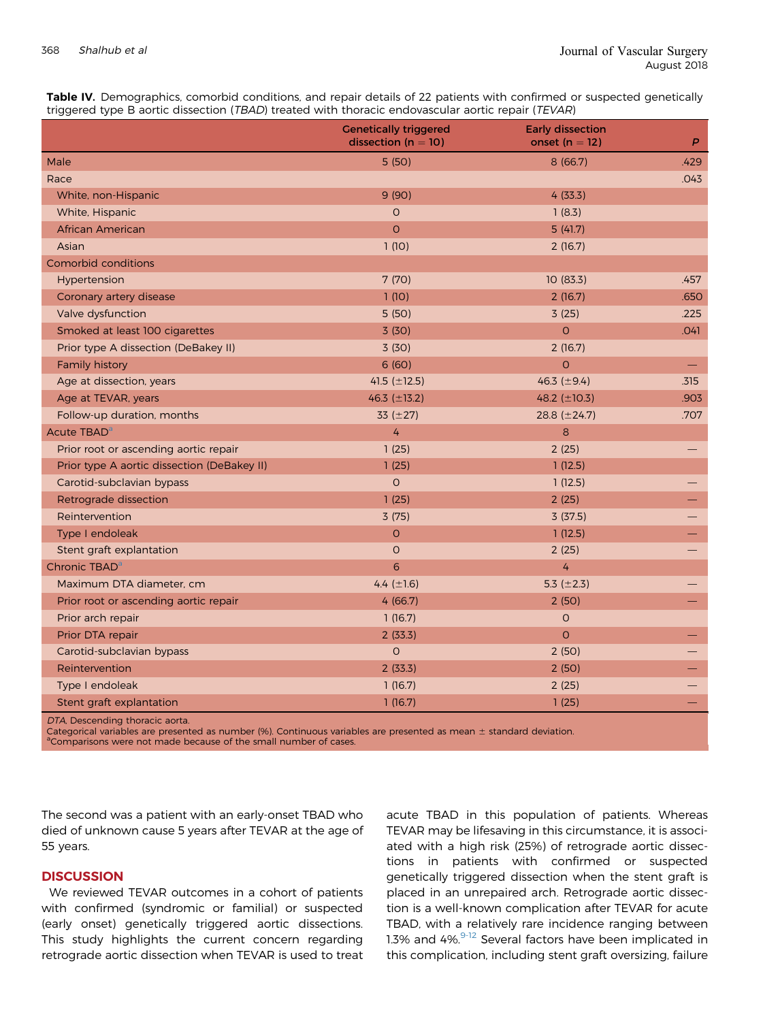<span id="page-4-0"></span>

| Table IV. Demographics, comorbid conditions, and repair details of 22 patients with confirmed or suspected genetically |  |
|------------------------------------------------------------------------------------------------------------------------|--|
| triggered type B aortic dissection (TBAD) treated with thoracic endovascular aortic repair (TEVAR)                     |  |

|                                             | <b>Genetically triggered</b><br>dissection ( $n = 10$ ) | <b>Early dissection</b><br>onset $(n = 12)$ | P    |
|---------------------------------------------|---------------------------------------------------------|---------------------------------------------|------|
| Male                                        | 5(50)                                                   | 8(66.7)                                     | .429 |
| Race                                        |                                                         |                                             | .043 |
| White, non-Hispanic                         | 9(90)                                                   | 4(33.3)                                     |      |
| White, Hispanic                             | $\circ$                                                 | 1(8.3)                                      |      |
| African American                            | $\circ$                                                 | 5(41.7)                                     |      |
| Asian                                       | 1(10)                                                   | 2(16.7)                                     |      |
| Comorbid conditions                         |                                                         |                                             |      |
| Hypertension                                | 7(70)                                                   | 10(83.3)                                    | .457 |
| Coronary artery disease                     | 1(10)                                                   | 2(16.7)                                     | .650 |
| Valve dysfunction                           | 5(50)                                                   | 3(25)                                       | .225 |
| Smoked at least 100 cigarettes              | 3(30)                                                   | $\circ$                                     | .041 |
| Prior type A dissection (DeBakey II)        | 3(30)                                                   | 2(16.7)                                     |      |
| Family history                              | 6(60)                                                   | $\Omega$                                    |      |
| Age at dissection, years                    | 41.5 $(\pm 12.5)$                                       | 46.3 $(\pm 9.4)$                            | .315 |
| Age at TEVAR, years                         | 46.3 (±13.2)                                            | 48.2 (±10.3)                                | .903 |
| Follow-up duration, months                  | 33 $(\pm 27)$                                           | 28.8 $(\pm 24.7)$                           | .707 |
| Acute TBAD <sup>a</sup>                     | 4                                                       | 8                                           |      |
| Prior root or ascending aortic repair       | 1(25)                                                   | 2(25)                                       |      |
| Prior type A aortic dissection (DeBakey II) | 1(25)                                                   | 1(12.5)                                     |      |
| Carotid-subclavian bypass                   | $\Omega$                                                | 1(12.5)                                     |      |
| Retrograde dissection                       | 1(25)                                                   | 2(25)                                       |      |
| Reintervention                              | 3(75)                                                   | 3(37.5)                                     |      |
| Type I endoleak                             | $\mathsf O$                                             | 1(12.5)                                     |      |
| Stent graft explantation                    | $\circ$                                                 | 2(25)                                       |      |
| Chronic TBAD <sup>a</sup>                   | 6                                                       | $\overline{4}$                              |      |
| Maximum DTA diameter, cm                    | 4.4 $(\pm 1.6)$                                         | 5.3 $(\pm 2.3)$                             |      |
| Prior root or ascending aortic repair       | 4(66.7)                                                 | 2(50)                                       |      |
| Prior arch repair                           | 1(16.7)                                                 | $\circ$                                     |      |
| Prior DTA repair                            | 2(33.3)                                                 | $\circ$                                     |      |
| Carotid-subclavian bypass                   | $\overline{O}$                                          | 2(50)                                       |      |
| Reintervention                              | 2(33.3)                                                 | 2(50)                                       |      |
| Type I endoleak                             | 1(16.7)                                                 | 2(25)                                       |      |
| Stent graft explantation                    | 1(16.7)                                                 | 1(25)                                       |      |
|                                             |                                                         |                                             |      |

DTA, Descending thoracic aorta.

Categorical variables are presented as number (%). Continuous variables are presented as mean  $\pm$  standard deviation.

<sup>a</sup>Comparisons were not made because of the small number of cases.

The second was a patient with an early-onset TBAD who died of unknown cause 5 years after TEVAR at the age of 55 years.

### **DISCUSSION**

We reviewed TEVAR outcomes in a cohort of patients with confirmed (syndromic or familial) or suspected (early onset) genetically triggered aortic dissections. This study highlights the current concern regarding retrograde aortic dissection when TEVAR is used to treat acute TBAD in this population of patients. Whereas TEVAR may be lifesaving in this circumstance, it is associated with a high risk (25%) of retrograde aortic dissections in patients with confirmed or suspected genetically triggered dissection when the stent graft is placed in an unrepaired arch. Retrograde aortic dissection is a well-known complication after TEVAR for acute TBAD, with a relatively rare incidence ranging between 1.3% and  $4\%$ .  $9-12$  Several factors have been implicated in this complication, including stent graft oversizing, failure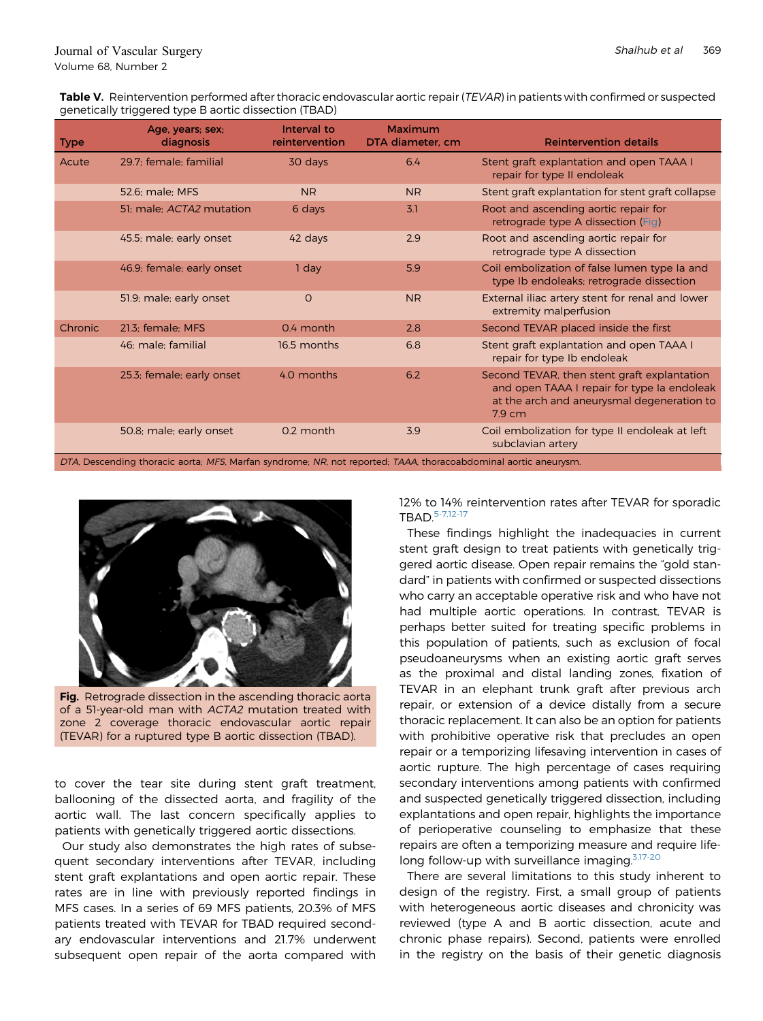<span id="page-5-0"></span>Table V. Reintervention performed after thoracic endovascular aortic repair (TEVAR) in patients with confirmed or suspected genetically triggered type B aortic dissection (TBAD)

| <b>Type</b>                                                                                                     | Age, years; sex;<br>diagnosis | Interval to<br>reintervention | Maximum<br>DTA diameter, cm | <b>Reintervention details</b>                                                                                                                                |
|-----------------------------------------------------------------------------------------------------------------|-------------------------------|-------------------------------|-----------------------------|--------------------------------------------------------------------------------------------------------------------------------------------------------------|
| Acute                                                                                                           | 29.7; female; familial        | 30 days                       | 6.4                         | Stent graft explantation and open TAAA I<br>repair for type II endoleak                                                                                      |
|                                                                                                                 | 52.6: male: MFS               | <b>NR</b>                     | <b>NR</b>                   | Stent graft explantation for stent graft collapse                                                                                                            |
|                                                                                                                 | 51: male: ACTA2 mutation      | 6 days                        | 3.1                         | Root and ascending aortic repair for<br>retrograde type A dissection (Fig)                                                                                   |
|                                                                                                                 | 45.5; male; early onset       | 42 days                       | 2.9                         | Root and ascending aortic repair for<br>retrograde type A dissection                                                                                         |
|                                                                                                                 | 46.9; female; early onset     | 1 day                         | 5.9                         | Coil embolization of false lumen type Ia and<br>type Ib endoleaks; retrograde dissection                                                                     |
|                                                                                                                 | 51.9; male; early onset       | $\circ$                       | <b>NR</b>                   | External iliac artery stent for renal and lower<br>extremity malperfusion                                                                                    |
| Chronic                                                                                                         | 21.3; female; MFS             | 0.4 month                     | 2.8                         | Second TEVAR placed inside the first                                                                                                                         |
|                                                                                                                 | 46; male; familial            | 16.5 months                   | 6.8                         | Stent graft explantation and open TAAA I<br>repair for type Ib endoleak                                                                                      |
|                                                                                                                 | 25.3; female; early onset     | 4.0 months                    | 6.2                         | Second TEVAR, then stent graft explantation<br>and open TAAA I repair for type Ia endoleak<br>at the arch and aneurysmal degeneration to<br>$7.9 \text{ cm}$ |
|                                                                                                                 | 50.8; male; early onset       | 0.2 month                     | 3.9                         | Coil embolization for type II endoleak at left<br>subclavian artery                                                                                          |
| DTA, Descending thoracic aorta; MFS, Marfan syndrome; NR, not reported; TAAA, thoracoabdominal aortic aneurysm. |                               |                               |                             |                                                                                                                                                              |



Fig. Retrograde dissection in the ascending thoracic aorta of a 51-year-old man with ACTA2 mutation treated with zone 2 coverage thoracic endovascular aortic repair (TEVAR) for a ruptured type B aortic dissection (TBAD).

to cover the tear site during stent graft treatment, ballooning of the dissected aorta, and fragility of the aortic wall. The last concern specifically applies to patients with genetically triggered aortic dissections.

Our study also demonstrates the high rates of subsequent secondary interventions after TEVAR, including stent graft explantations and open aortic repair. These rates are in line with previously reported findings in MFS cases. In a series of 69 MFS patients, 20.3% of MFS patients treated with TEVAR for TBAD required secondary endovascular interventions and 21.7% underwent subsequent open repair of the aorta compared with

12% to 14% reintervention rates after TEVAR for sporadic TBAD.[5-7,12-17](#page-7-0)

These findings highlight the inadequacies in current stent graft design to treat patients with genetically triggered aortic disease. Open repair remains the "gold standard" in patients with confirmed or suspected dissections who carry an acceptable operative risk and who have not had multiple aortic operations. In contrast, TEVAR is perhaps better suited for treating specific problems in this population of patients, such as exclusion of focal pseudoaneurysms when an existing aortic graft serves as the proximal and distal landing zones, fixation of TEVAR in an elephant trunk graft after previous arch repair, or extension of a device distally from a secure thoracic replacement. It can also be an option for patients with prohibitive operative risk that precludes an open repair or a temporizing lifesaving intervention in cases of aortic rupture. The high percentage of cases requiring secondary interventions among patients with confirmed and suspected genetically triggered dissection, including explantations and open repair, highlights the importance of perioperative counseling to emphasize that these repairs are often a temporizing measure and require lifelong follow-up with surveillance imaging. $3,17-20$ 

There are several limitations to this study inherent to design of the registry. First, a small group of patients with heterogeneous aortic diseases and chronicity was reviewed (type A and B aortic dissection, acute and chronic phase repairs). Second, patients were enrolled in the registry on the basis of their genetic diagnosis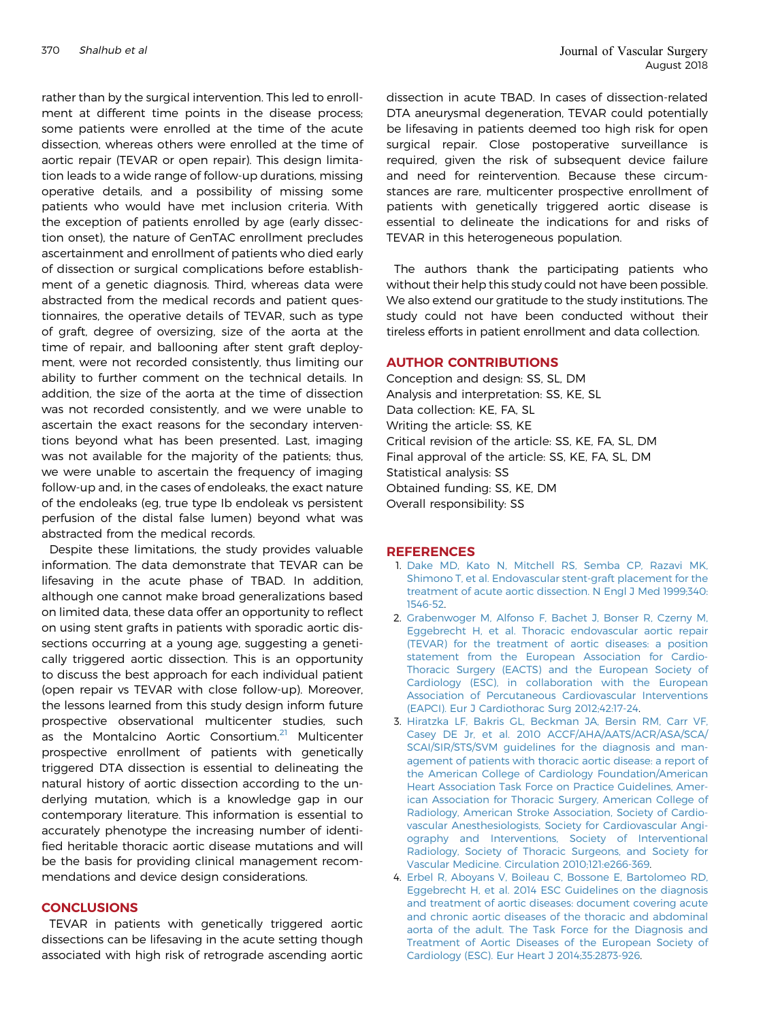<span id="page-6-0"></span>rather than by the surgical intervention. This led to enrollment at different time points in the disease process; some patients were enrolled at the time of the acute dissection, whereas others were enrolled at the time of aortic repair (TEVAR or open repair). This design limitation leads to a wide range of follow-up durations, missing operative details, and a possibility of missing some patients who would have met inclusion criteria. With the exception of patients enrolled by age (early dissection onset), the nature of GenTAC enrollment precludes ascertainment and enrollment of patients who died early of dissection or surgical complications before establishment of a genetic diagnosis. Third, whereas data were abstracted from the medical records and patient questionnaires, the operative details of TEVAR, such as type of graft, degree of oversizing, size of the aorta at the time of repair, and ballooning after stent graft deployment, were not recorded consistently, thus limiting our ability to further comment on the technical details. In addition, the size of the aorta at the time of dissection was not recorded consistently, and we were unable to ascertain the exact reasons for the secondary interventions beyond what has been presented. Last, imaging was not available for the majority of the patients; thus, we were unable to ascertain the frequency of imaging follow-up and, in the cases of endoleaks, the exact nature of the endoleaks (eg, true type Ib endoleak vs persistent perfusion of the distal false lumen) beyond what was abstracted from the medical records.

Despite these limitations, the study provides valuable information. The data demonstrate that TEVAR can be lifesaving in the acute phase of TBAD. In addition, although one cannot make broad generalizations based on limited data, these data offer an opportunity to reflect on using stent grafts in patients with sporadic aortic dissections occurring at a young age, suggesting a genetically triggered aortic dissection. This is an opportunity to discuss the best approach for each individual patient (open repair vs TEVAR with close follow-up). Moreover, the lessons learned from this study design inform future prospective observational multicenter studies, such as the Montalcino Aortic Consortium.<sup>[21](#page-7-0)</sup> Multicenter prospective enrollment of patients with genetically triggered DTA dissection is essential to delineating the natural history of aortic dissection according to the underlying mutation, which is a knowledge gap in our contemporary literature. This information is essential to accurately phenotype the increasing number of identified heritable thoracic aortic disease mutations and will be the basis for providing clinical management recommendations and device design considerations.

#### **CONCLUSIONS**

TEVAR in patients with genetically triggered aortic dissections can be lifesaving in the acute setting though associated with high risk of retrograde ascending aortic

dissection in acute TBAD. In cases of dissection-related DTA aneurysmal degeneration, TEVAR could potentially be lifesaving in patients deemed too high risk for open surgical repair. Close postoperative surveillance is required, given the risk of subsequent device failure and need for reintervention. Because these circumstances are rare, multicenter prospective enrollment of patients with genetically triggered aortic disease is essential to delineate the indications for and risks of TEVAR in this heterogeneous population.

The authors thank the participating patients who without their help this study could not have been possible. We also extend our gratitude to the study institutions. The study could not have been conducted without their tireless efforts in patient enrollment and data collection.

#### AUTHOR CONTRIBUTIONS

Conception and design: SS, SL, DM Analysis and interpretation: SS, KE, SL Data collection: KE, FA, SL Writing the article: SS, KE Critical revision of the article: SS, KE, FA, SL, DM Final approval of the article: SS, KE, FA, SL, DM Statistical analysis: SS Obtained funding: SS, KE, DM Overall responsibility: SS

#### **REFERENCES**

- 1. [Dake MD, Kato N, Mitchell RS, Semba CP, Razavi MK,](http://refhub.elsevier.com/S0741-5214(18)30132-0/sref1) [Shimono T, et al. Endovascular stent-graft placement for the](http://refhub.elsevier.com/S0741-5214(18)30132-0/sref1) [treatment of acute aortic dissection. N Engl J Med 1999;340:](http://refhub.elsevier.com/S0741-5214(18)30132-0/sref1) [1546-52](http://refhub.elsevier.com/S0741-5214(18)30132-0/sref1).
- 2. [Grabenwoger M, Alfonso F, Bachet J, Bonser R, Czerny M,](http://refhub.elsevier.com/S0741-5214(18)30132-0/sref2) [Eggebrecht H, et al. Thoracic endovascular aortic repair](http://refhub.elsevier.com/S0741-5214(18)30132-0/sref2) [\(TEVAR\) for the treatment of aortic diseases: a position](http://refhub.elsevier.com/S0741-5214(18)30132-0/sref2) [statement from the European Association for Cardio-](http://refhub.elsevier.com/S0741-5214(18)30132-0/sref2)[Thoracic Surgery \(EACTS\) and the European Society of](http://refhub.elsevier.com/S0741-5214(18)30132-0/sref2) [Cardiology \(ESC\), in collaboration with the European](http://refhub.elsevier.com/S0741-5214(18)30132-0/sref2) [Association of Percutaneous Cardiovascular Interventions](http://refhub.elsevier.com/S0741-5214(18)30132-0/sref2) [\(EAPCI\). Eur J Cardiothorac Surg 2012;42:17-24.](http://refhub.elsevier.com/S0741-5214(18)30132-0/sref2)
- 3. [Hiratzka LF, Bakris GL, Beckman JA, Bersin RM, Carr VF,](http://refhub.elsevier.com/S0741-5214(18)30132-0/sref3) [Casey DE Jr, et al. 2010 ACCF/AHA/AATS/ACR/ASA/SCA/](http://refhub.elsevier.com/S0741-5214(18)30132-0/sref3) [SCAI/SIR/STS/SVM guidelines for the diagnosis and man](http://refhub.elsevier.com/S0741-5214(18)30132-0/sref3)[agement of patients with thoracic aortic disease: a report of](http://refhub.elsevier.com/S0741-5214(18)30132-0/sref3) [the American College of Cardiology Foundation/American](http://refhub.elsevier.com/S0741-5214(18)30132-0/sref3) [Heart Association Task Force on Practice Guidelines, Amer](http://refhub.elsevier.com/S0741-5214(18)30132-0/sref3)[ican Association for Thoracic Surgery, American College of](http://refhub.elsevier.com/S0741-5214(18)30132-0/sref3) [Radiology, American Stroke Association, Society of Cardio](http://refhub.elsevier.com/S0741-5214(18)30132-0/sref3)[vascular Anesthesiologists, Society for Cardiovascular Angi](http://refhub.elsevier.com/S0741-5214(18)30132-0/sref3)[ography and Interventions, Society of Interventional](http://refhub.elsevier.com/S0741-5214(18)30132-0/sref3) [Radiology, Society of Thoracic Surgeons, and Society for](http://refhub.elsevier.com/S0741-5214(18)30132-0/sref3) [Vascular Medicine. Circulation 2010;121:e266-369](http://refhub.elsevier.com/S0741-5214(18)30132-0/sref3).
- 4. [Erbel R, Aboyans V, Boileau C, Bossone E, Bartolomeo RD,](http://refhub.elsevier.com/S0741-5214(18)30132-0/sref4) [Eggebrecht H, et al. 2014 ESC Guidelines on the diagnosis](http://refhub.elsevier.com/S0741-5214(18)30132-0/sref4) [and treatment of aortic diseases: document covering acute](http://refhub.elsevier.com/S0741-5214(18)30132-0/sref4) [and chronic aortic diseases of the thoracic and abdominal](http://refhub.elsevier.com/S0741-5214(18)30132-0/sref4) [aorta of the adult. The Task Force for the Diagnosis and](http://refhub.elsevier.com/S0741-5214(18)30132-0/sref4) [Treatment of Aortic Diseases of the European Society of](http://refhub.elsevier.com/S0741-5214(18)30132-0/sref4) [Cardiology \(ESC\). Eur Heart J 2014;35:2873-926.](http://refhub.elsevier.com/S0741-5214(18)30132-0/sref4)